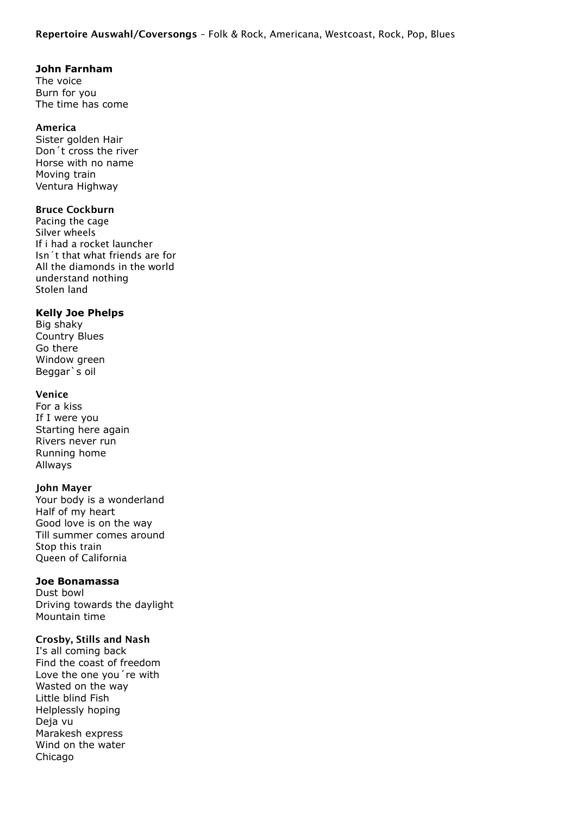#### **John Farnham**

The voice Burn for you The time has come

#### America

Sister golden Hair Don´t cross the river Horse with no name Moving train Ventura Highway

#### Bruce Cockburn

Pacing the cage Silver wheels If i had a rocket launcher Isn´t that what friends are for All the diamonds in the world understand nothing Stolen land

#### **Kelly Joe Phelps**

Big shaky Country Blues Go there Window green Beggar`s oil

#### Venice

For a kiss If I were you Starting here again Rivers never run Running home Allways

#### John Mayer

Your body is a wonderland Half of my heart Good love is on the way Till summer comes around Stop this train Queen of California

#### **Joe Bonamassa**

Dust bowl Driving towards the daylight Mountain time

#### Crosby, Stills and Nash

I's all coming back Find the coast of freedom Love the one you´re with Wasted on the way Little blind Fish Helplessly hoping Deja vu Marakesh express Wind on the water Chicago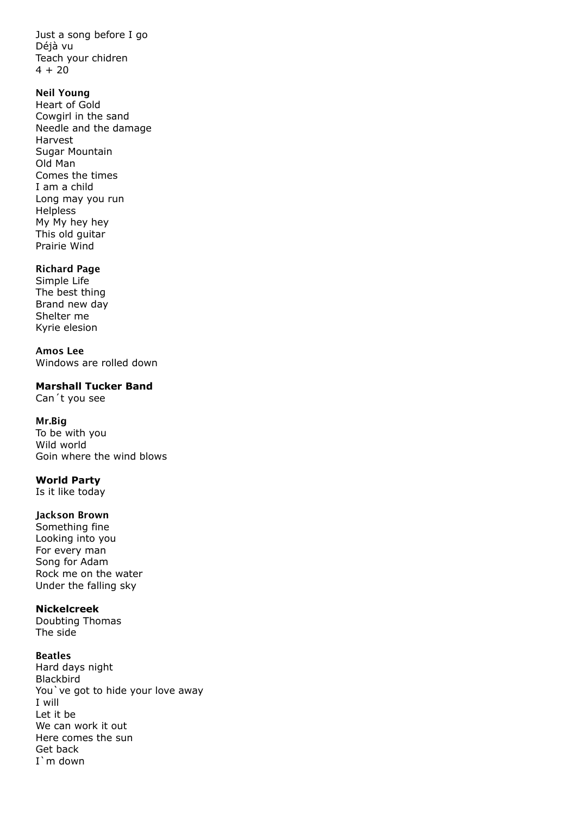Just a song before I go Déjà vu Teach your chidren  $4 + 20$ 

#### Neil Young

Heart of Gold Cowgirl in the sand Needle and the damage Harvest Sugar Mountain Old Man Comes the times I am a child Long may you run Helpless My My hey hey This old guitar Prairie Wind

#### Richard Page

Simple Life The best thing Brand new day Shelter me Kyrie elesion

Amos Lee Windows are rolled down

**Marshall Tucker Band**

Can´t you see

#### Mr.Big

To be with you Wild world Goin where the wind blows

#### **World Party**

Is it like today

#### Jackson Brown

Something fine Looking into you For every man Song for Adam Rock me on the water Under the falling sky

#### **Nickelcreek**

Doubting Thomas The side

#### Beatles

Hard days night Blackbird You've got to hide your love away I will Let it be We can work it out Here comes the sun Get back I`m down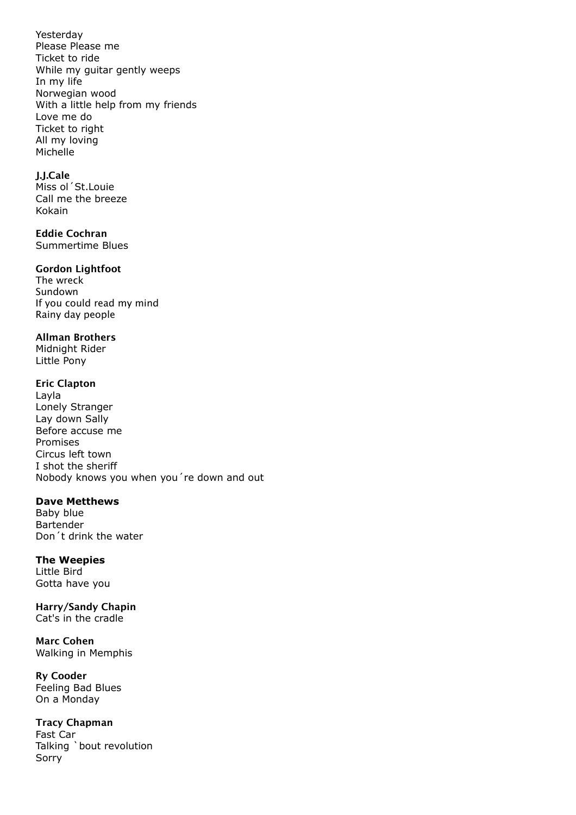Yesterday Please Please me Ticket to ride While my guitar gently weeps In my life Norwegian wood With a little help from my friends Love me do Ticket to right All my loving Michelle

### J.J.Cale

Miss ol´St.Louie Call me the breeze Kokain

## Eddie Cochran

Summertime Blues

#### Gordon Lightfoot

The wreck Sundown If you could read my mind Rainy day people

#### Allman Brothers

Midnight Rider Little Pony

#### Eric Clapton

Layla Lonely Stranger Lay down Sally Before accuse me Promises Circus left town I shot the sheriff Nobody knows you when you´re down and out

### **Dave Metthews**

Baby blue Bartender Don´t drink the water

# **The Weepies**

Little Bird Gotta have you

Harry/Sandy Chapin Cat's in the cradle

Marc Cohen Walking in Memphis

Ry Cooder Feeling Bad Blues On a Monday

### Tracy Chapman

Fast Car Talking `bout revolution Sorry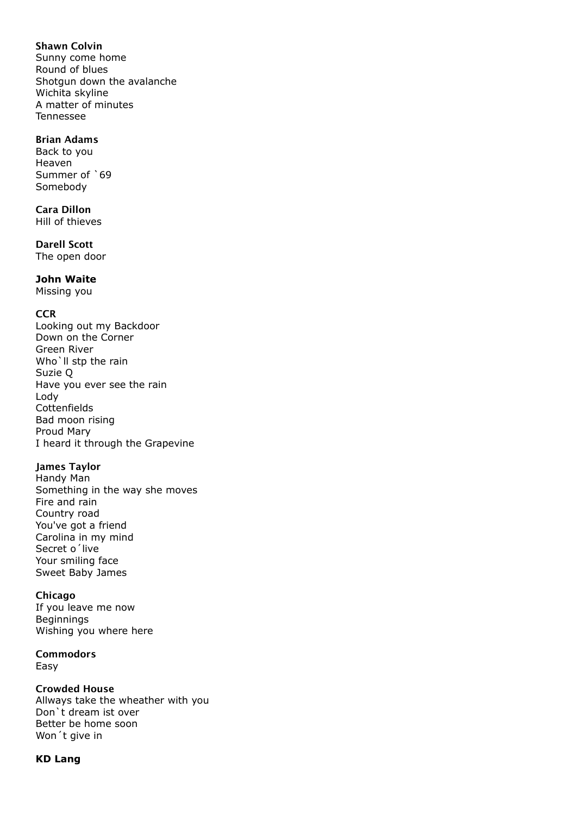### Shawn Colvin

Sunny come home Round of blues Shotgun down the avalanche Wichita skyline A matter of minutes Tennessee

### Brian Adams

Back to you Heaven Summer of `69 Somebody

Cara Dillon

Hill of thieves

Darell Scott The open door

#### **John Waite**

Missing you

#### **CCR**

Looking out my Backdoor Down on the Corner Green River Who'll stp the rain Suzie Q Have you ever see the rain Lody **Cottenfields** Bad moon rising Proud Mary I heard it through the Grapevine

#### James Taylor

Handy Man Something in the way she moves Fire and rain Country road You've got a friend Carolina in my mind Secret o´live Your smiling face Sweet Baby James

#### Chicago

If you leave me now Beginnings Wishing you where here

#### Commodors

Easy

#### Crowded House

Allways take the wheather with you Don`t dream ist over Better be home soon Won´t give in

### **KD Lang**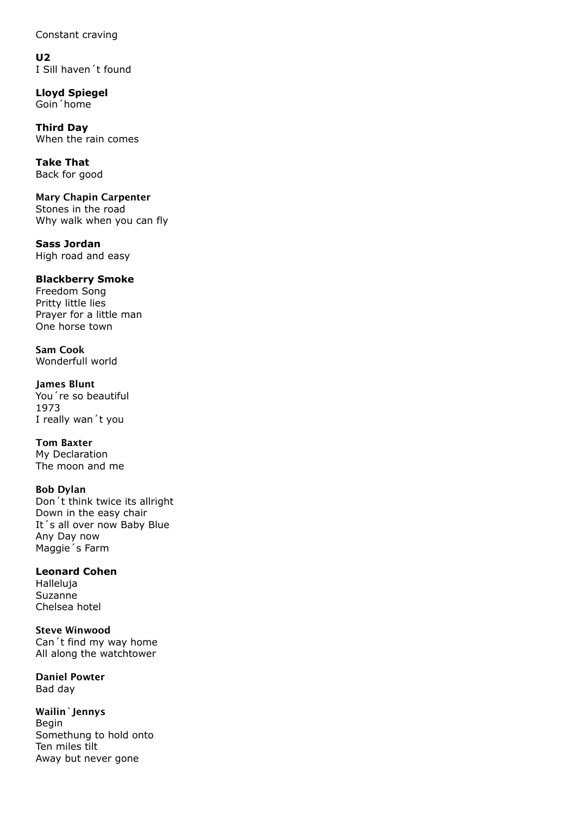Constant craving

**U2** I Sill haven´t found

**Lloyd Spiegel** Goin´home

**Third Day** When the rain comes

**Take That** Back for good

Mary Chapin Carpenter Stones in the road Why walk when you can fly

**Sass Jordan** High road and easy

### **Blackberry Smoke**

Freedom Song Pritty little lies Prayer for a little man One horse town

Sam Cook Wonderfull world

James Blunt You´re so beautiful 1973 I really wan´t you

Tom Baxter My Declaration The moon and me

Bob Dylan Don´t think twice its allright Down in the easy chair It´s all over now Baby Blue Any Day now Maggie´s Farm

**Leonard Cohen** Halleluja Suzanne Chelsea hotel

Steve Winwood Can´t find my way home All along the watchtower

Daniel Powter Bad day

Wailin`Jennys Begin Somethung to hold onto Ten miles tilt Away but never gone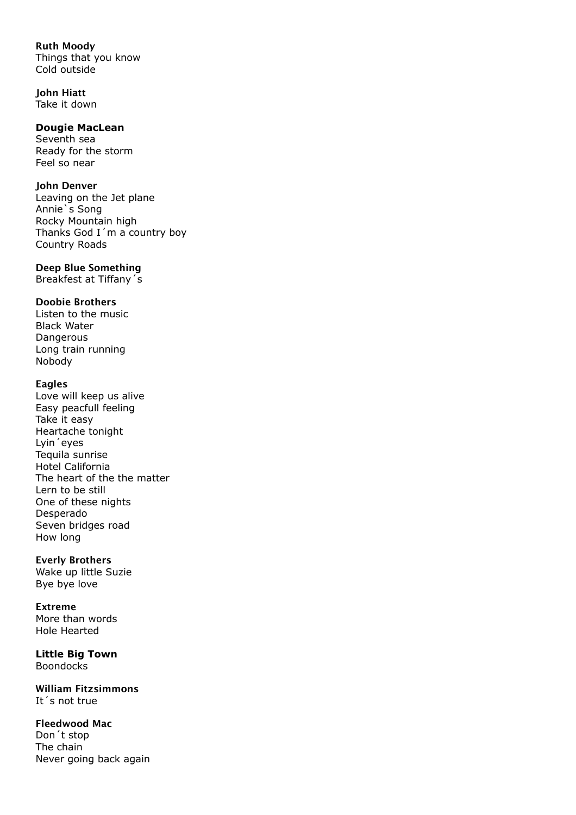### Ruth Moody

Things that you know Cold outside

John Hiatt Take it down

### **Dougie MacLean**

Seventh sea Ready for the storm Feel so near

### John Denver

Leaving on the Jet plane Annie`s Song Rocky Mountain high Thanks God I´m a country boy Country Roads

### Deep Blue Something

Breakfest at Tiffany´s

### Doobie Brothers

Listen to the music Black Water Dangerous Long train running Nobody

### Eagles

Love will keep us alive Easy peacfull feeling Take it easy Heartache tonight Lyin´eyes Tequila sunrise Hotel California The heart of the the matter Lern to be still One of these nights Desperado Seven bridges road How long

### Everly Brothers

Wake up little Suzie Bye bye love

Extreme More than words Hole Hearted

**Little Big Town** Boondocks

William Fitzsimmons It´s not true

#### Fleedwood Mac Don´t stop

The chain Never going back again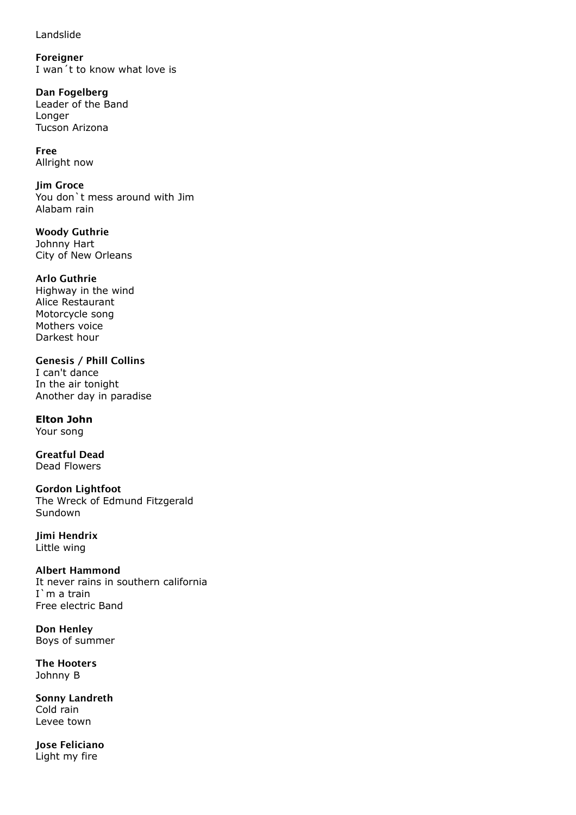Landslide

Foreigner I wan´t to know what love is

Dan Fogelberg Leader of the Band Longer Tucson Arizona

Free Allright now

Jim Groce You don`t mess around with Jim Alabam rain

Woody Guthrie Johnny Hart City of New Orleans

Arlo Guthrie Highway in the wind Alice Restaurant Motorcycle song Mothers voice Darkest hour

Genesis / Phill Collins I can't dance In the air tonight Another day in paradise

**Elton John** Your song

Greatful Dead Dead Flowers

Gordon Lightfoot The Wreck of Edmund Fitzgerald Sundown

Jimi Hendrix Little wing

Albert Hammond It never rains in southern california I`m a train Free electric Band

Don Henley Boys of summer

The Hooters Johnny B

Sonny Landreth Cold rain Levee town

Jose Feliciano Light my fire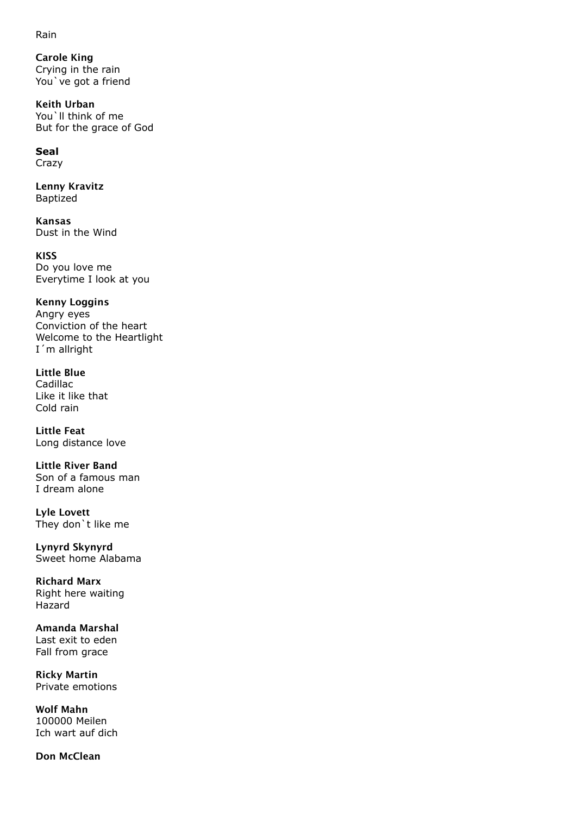Rain

Carole King Crying in the rain You`ve got a friend

Keith Urban You'll think of me But for the grace of God

# **Seal**

Crazy

Lenny Kravitz Baptized

Kansas Dust in the Wind

KISS Do you love me Everytime I look at you

Kenny Loggins Angry eyes

Conviction of the heart Welcome to the Heartlight I´m allright

Little Blue Cadillac Like it like that Cold rain

Little Feat Long distance love

Little River Band Son of a famous man I dream alone

Lyle Lovett They don`t like me

Lynyrd Skynyrd Sweet home Alabama

Richard Marx Right here waiting Hazard

Amanda Marshal Last exit to eden Fall from grace

Ricky Martin Private emotions

Wolf Mahn 100000 Meilen Ich wart auf dich

Don McClean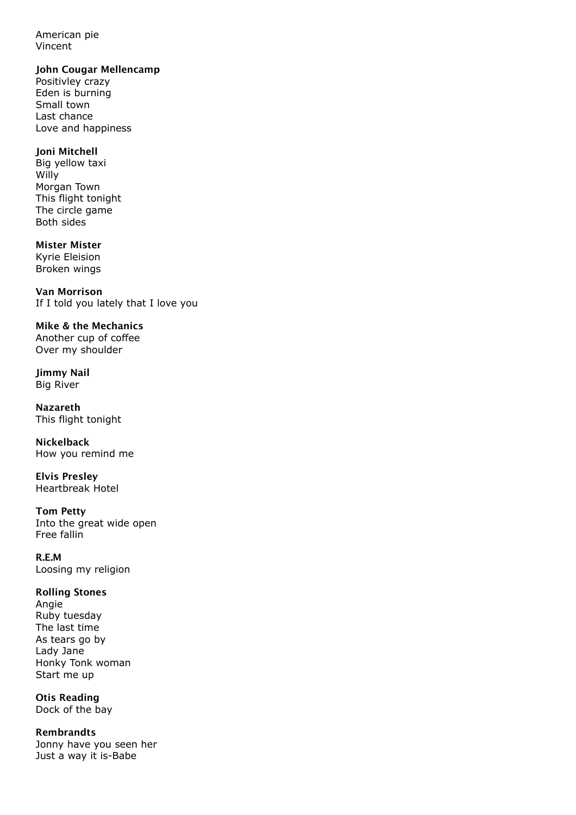American pie Vincent

#### John Cougar Mellencamp

Positivley crazy Eden is burning Small town Last chance Love and happiness

#### Joni Mitchell

Big yellow taxi Willy Morgan Town This flight tonight The circle game Both sides

# Mister Mister

Kyrie Eleision Broken wings

Van Morrison If I told you lately that I love you

Mike & the Mechanics Another cup of coffee Over my shoulder

Jimmy Nail Big River

Nazareth This flight tonight

Nickelback How you remind me

Elvis Presley Heartbreak Hotel

# Tom Petty

Into the great wide open Free fallin

R.E.M Loosing my religion

### Rolling Stones

Angie Ruby tuesday The last time As tears go by Lady Jane Honky Tonk woman Start me up

Otis Reading Dock of the bay

Rembrandts Jonny have you seen her Just a way it is-Babe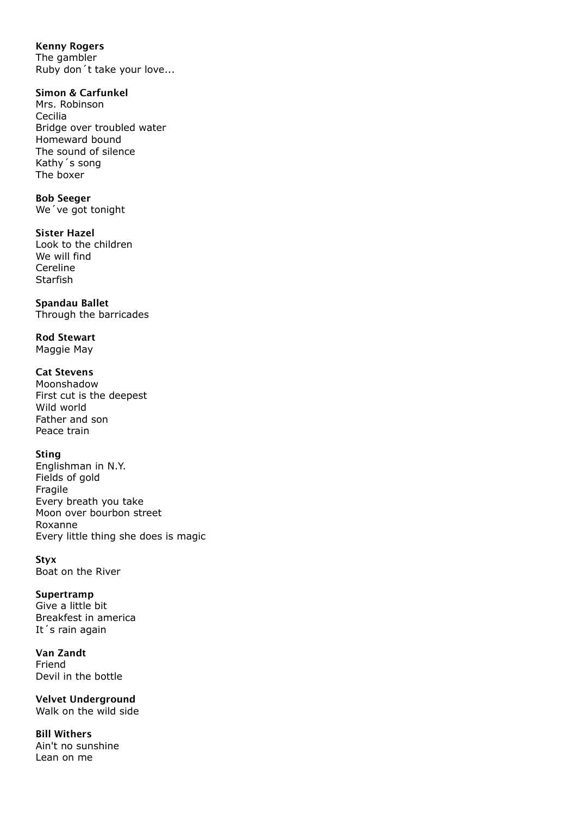### Kenny Rogers

The gambler Ruby don´t take your love...

### Simon & Carfunkel

Mrs. Robinson Cecilia Bridge over troubled water Homeward bound The sound of silence Kathy´s song The boxer

### Bob Seeger

We´ve got tonight

### Sister Hazel

Look to the children We will find Cereline **Starfish** 

### Spandau Ballet

Through the barricades

Rod Stewart Maggie May

### Cat Stevens

Moonshadow First cut is the deepest Wild world Father and son Peace train

### Sting

Englishman in N.Y. Fields of gold Fragile Every breath you take Moon over bourbon street Roxanne Every little thing she does is magic

### **Stvx**

Boat on the River

### Supertramp

Give a little bit Breakfest in america It´s rain again

#### Van Zandt Friend Devil in the bottle

Velvet Underground Walk on the wild side

Bill Withers Ain't no sunshine Lean on me